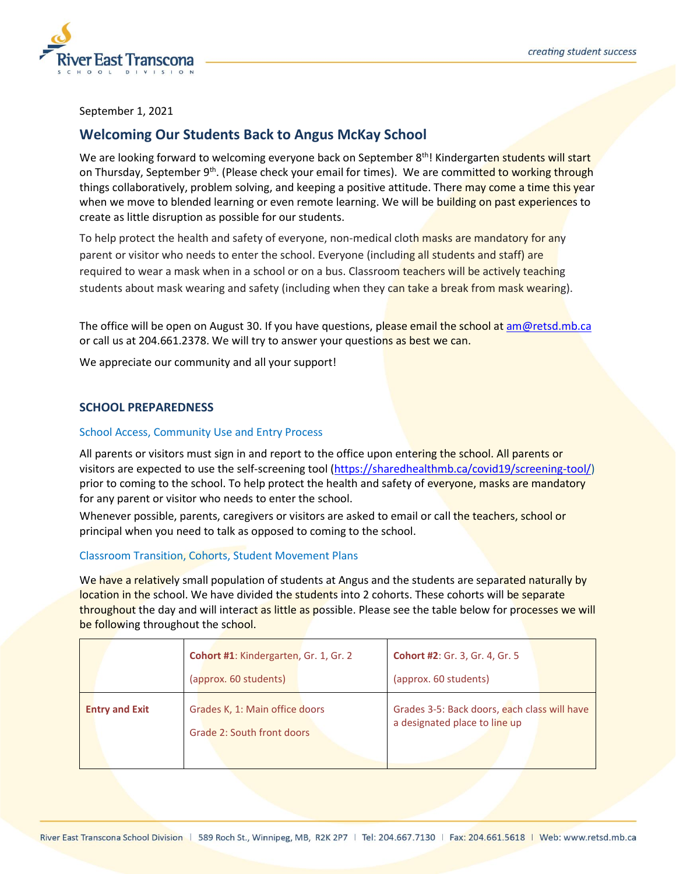



September 1, 2021

# **Welcoming Our Students Back to Angus McKay School**

We are looking forward to welcoming everyone back on September 8th! Kindergarten students will start on Thursday, September 9<sup>th</sup>. (Please check your email for times). We are committed to working through things collaboratively, problem solving, and keeping a positive attitude. There may come a time this year when we move to blended learning or even remote learning. We will be building on past experiences to create as little disruption as possible for our students.

To help protect the health and safety of everyone, non-medical cloth masks are mandatory for any parent or visitor who needs to enter the school. Everyone (including all students and staff) are required to wear a mask when in a school or on a bus. Classroom teachers will be actively teaching students about mask wearing and safety (including when they can take a break from mask wearing).

The office will be open on August 30. If you have questions, please email the school a[t am@retsd.mb.ca](mailto:am@retsd.mb.ca) or call us at 204.661.2378. We will try to answer your questions as best we can.

We appreciate our community and all your support!

# **SCHOOL PREPAREDNESS**

# School Access, Community Use and Entry Process

All parents or visitors must sign in and report to the office upon entering the school. All parents or visitors are expected to use the self-screening tool [\(https://sharedhealthmb.ca/covid19/screening-tool/\)](https://sharedhealthmb.ca/covid19/screening-tool/) prior to coming to the school. To help protect the health and safety of everyone, masks are mandatory for any parent or visitor who needs to enter the school.

Whenever possible, parents, caregivers or visitors are asked to email or call the teachers, school or principal when you need to talk as opposed to coming to the school.

## Classroom Transition, Cohorts, Student Movement Plans

We have a relatively small population of students at Angus and the students are separated naturally by location in the school. We have divided the students into 2 cohorts. These cohorts will be separate throughout the day and will interact as little as possible. Please see the table below for processes we will be following throughout the school.

|                       | Cohort #1: Kindergarten, Gr. 1, Gr. 2<br>(approx. 60 students) | <b>Cohort #2: Gr. 3, Gr. 4, Gr. 5</b><br>(approx. 60 students)                |
|-----------------------|----------------------------------------------------------------|-------------------------------------------------------------------------------|
| <b>Entry and Exit</b> | Grades K, 1: Main office doors<br>Grade 2: South front doors   | Grades 3-5: Back doors, each class will have<br>a designated place to line up |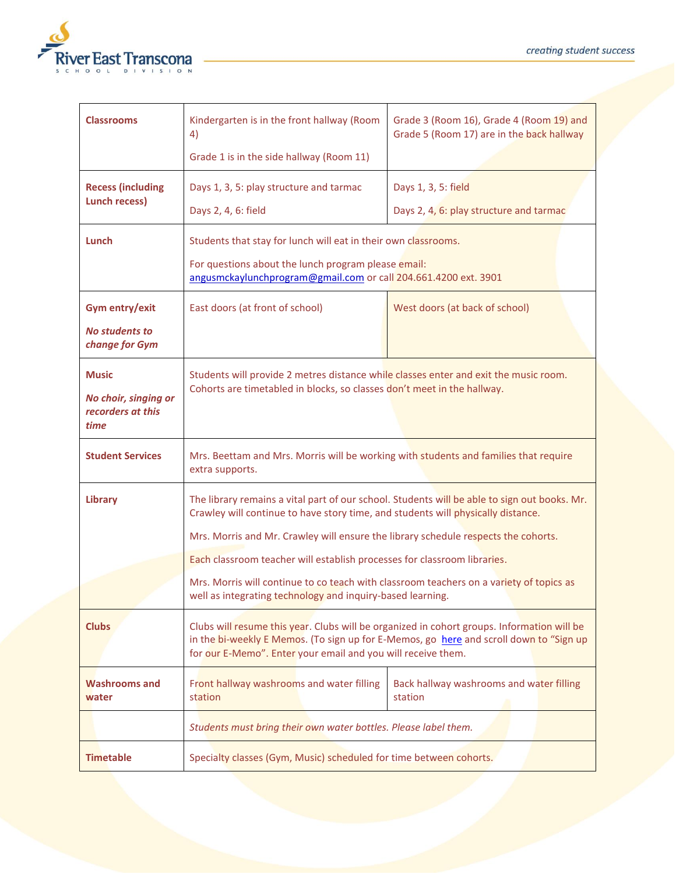

| <b>Classrooms</b>                                                 | Kindergarten is in the front hallway (Room<br>4)                                                                                                                                                                                                                                                                                                   | Grade 3 (Room 16), Grade 4 (Room 19) and<br>Grade 5 (Room 17) are in the back hallway |
|-------------------------------------------------------------------|----------------------------------------------------------------------------------------------------------------------------------------------------------------------------------------------------------------------------------------------------------------------------------------------------------------------------------------------------|---------------------------------------------------------------------------------------|
|                                                                   | Grade 1 is in the side hallway (Room 11)                                                                                                                                                                                                                                                                                                           |                                                                                       |
| <b>Recess (including</b><br><b>Lunch recess)</b>                  | Days 1, 3, 5: play structure and tarmac<br>Days 2, 4, 6: field                                                                                                                                                                                                                                                                                     | Days 1, 3, 5: field<br>Days 2, 4, 6: play structure and tarmac                        |
| Lunch                                                             | Students that stay for lunch will eat in their own classrooms.<br>For questions about the lunch program please email:<br>angusmckaylunchprogram@gmail.com or call 204.661.4200 ext. 3901                                                                                                                                                           |                                                                                       |
| Gym entry/exit<br><b>No students to</b><br>change for Gym         | East doors (at front of school)                                                                                                                                                                                                                                                                                                                    | West doors (at back of school)                                                        |
| <b>Music</b><br>No choir, singing or<br>recorders at this<br>time | Students will provide 2 metres distance while classes enter and exit the music room.<br>Cohorts are timetabled in blocks, so classes don't meet in the hallway.                                                                                                                                                                                    |                                                                                       |
| <b>Student Services</b>                                           | Mrs. Beettam and Mrs. Morris will be working with students and families that require<br>extra supports.                                                                                                                                                                                                                                            |                                                                                       |
| Library                                                           | The library remains a vital part of our school. Students will be able to sign out books. Mr.<br>Crawley will continue to have story time, and students will physically distance.<br>Mrs. Morris and Mr. Crawley will ensure the library schedule respects the cohorts.<br>Each classroom teacher will establish processes for classroom libraries. |                                                                                       |
|                                                                   | Mrs. Morris will continue to co teach with classroom teachers on a variety of topics as<br>well as integrating technology and inquiry-based learning.                                                                                                                                                                                              |                                                                                       |
| <b>Clubs</b>                                                      | Clubs will resume this year. Clubs will be organized in cohort groups. Information will be<br>in the bi-weekly E Memos. (To sign up for E-Memos, go here and scroll down to "Sign up<br>for our E-Memo". Enter your email and you will receive them.                                                                                               |                                                                                       |
| <b>Washrooms and</b><br>water                                     | Front hallway washrooms and water filling<br>station                                                                                                                                                                                                                                                                                               | Back hallway washrooms and water filling<br>station                                   |
|                                                                   | Students must bring their own water bottles. Please label them.                                                                                                                                                                                                                                                                                    |                                                                                       |
| <b>Timetable</b>                                                  | Specialty classes (Gym, Music) scheduled for time between cohorts.                                                                                                                                                                                                                                                                                 |                                                                                       |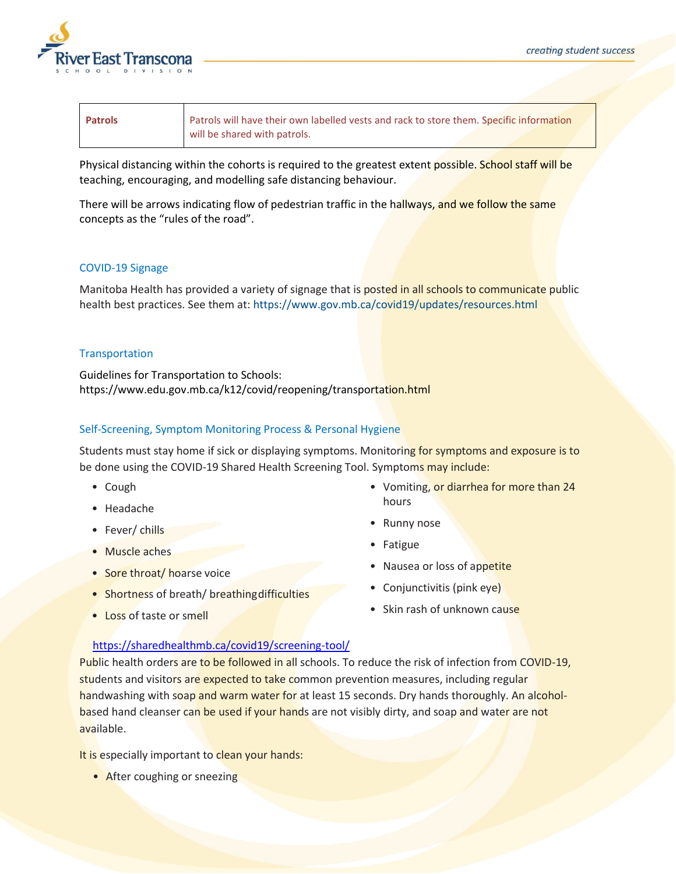

| <b>Patrols</b> | Patrols will have their own labelled vests and rack to store them. Specific information |
|----------------|-----------------------------------------------------------------------------------------|
|                | will be shared with patrols.                                                            |

Physical distancing within the cohorts is required to the greatest extent possible. School staff will be teaching, encouraging, and modelling safe distancing behaviour.

There will be arrows indicating flow of pedestrian traffic in the hallways, and we follow the same concepts as the "rules of the road".

# COVID-19 Signage

Manitoba Health has provided a variety of signage that is posted in all schools to communicate public health best practices. See them at: htt[ps://ww](http://www.gov.mb.ca/covid19/updates/resources.html)w.[gov.mb.ca/covid19/updates/resources.html](http://www.gov.mb.ca/covid19/updates/resources.html)

# **Transportation**

Guidelines for Transportation to Schools: htt[ps://www.edu.gov.mb.ca/k12/covid/reopening/transportation.html](http://www.edu.gov.mb.ca/k12/covid/reopening/transportation.html)

# Self-Screening, Symptom Monitoring Process & Personal Hygiene

Students must stay home if sick or displaying symptoms. Monitoring for symptoms and exposure is to be done using the COVID-19 Shared Health Screening Tool. Symptoms may include:

- Cough
- Headache
- Fever/ chills
- Muscle aches
- Sore throat/ hoarse voice
- Shortness of breath/ breathing difficulties
- Loss of taste or smell
- Vomiting, or diarrhea for more than 24 hours
- Runny nose
- Fatigue
- Nausea or loss of appetite
- Conjunctivitis (pink eye)
- Skin rash of unknown cause

## <https://sharedhealthmb.ca/covid19/screening-tool/>

Public health orders are to be followed in all schools. To reduce the risk of infection from COVID-19, students and visitors are expected to take common prevention measures, including regular handwashing with soap and warm water for at least 15 seconds. Dry hands thoroughly. An alcoholbased hand cleanser can be used if your hands are not visibly dirty, and soap and water are not available.

It is especially important to clean your hands:

• After coughing or sneezing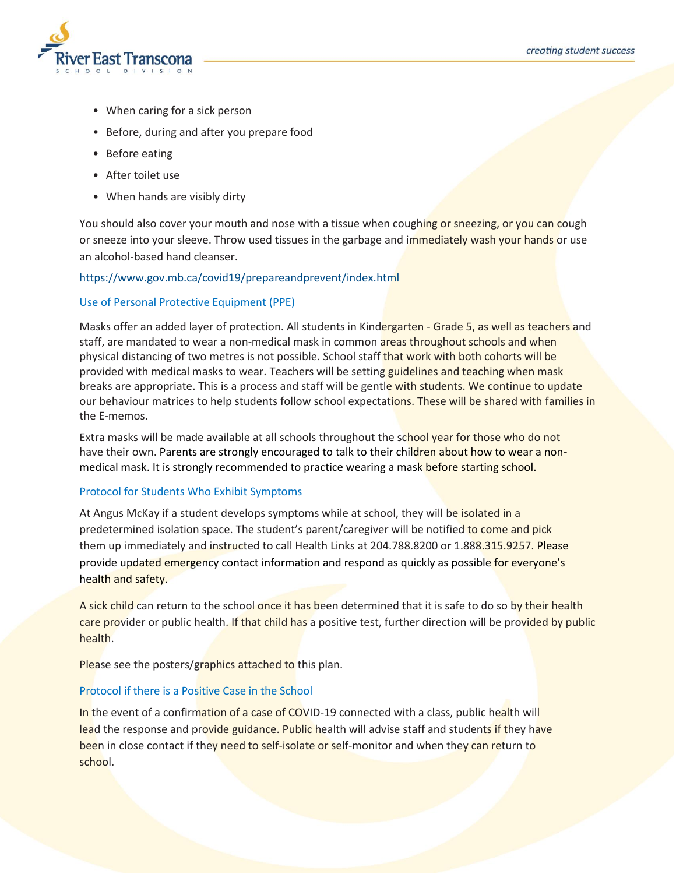

- When caring for a sick person
- Before, during and after you prepare food
- Before eating
- After toilet use
- When hands are visibly dirty

You should also cover your mouth and nose with a tissue when coughing or sneezing, or you can cough or sneeze into your sleeve. Throw used tissues in the garbage and immediately wash your hands or use an alcohol-based hand cleanser.

# htt[ps://ww](http://www.gov.mb.ca/covid19/prepareandprevent/index.html)w.[gov.mb.ca/covid19/prepareandprevent/index.html](http://www.gov.mb.ca/covid19/prepareandprevent/index.html)

# Use of Personal Protective Equipment (PPE)

Masks offer an added layer of protection. All students in Kindergarten - Grade 5, as well as teachers and staff, are mandated to wear a non-medical mask in common areas throughout schools and when physical distancing of two metres is not possible. School staff that work with both cohorts will be provided with medical masks to wear. Teachers will be setting guidelines and teaching when mask breaks are appropriate. This is a process and staff will be gentle with students. We continue to update our behaviour matrices to help students follow school expectations. These will be shared with families in the E-memos.

Extra masks will be made available at all schools throughout the school year for those who do not have their own. Parents are strongly encouraged to talk to their children about how to wear a nonmedical mask. It is strongly recommended to practice wearing a mask before starting school.

## Protocol for Students Who Exhibit Symptoms

At Angus McKay if a student develops symptoms while at school, they will be isolated in a predetermined isolation space. The student's parent/caregiver will be notified to come and pick them up immediately and instructed to call Health Links at 204.788.8200 or 1.888.315.9257. Please provide updated emergency contact information and respond as quickly as possible for everyone's health and safety.

A sick child can return to the school once it has been determined that it is safe to do so by their health care provider or public health. If that child has a positive test, further direction will be provided by public health.

Please see the posters/graphics attached to this plan.

## Protocol if there is a Positive Case in the School

In the event of a confirmation of a case of COVID-19 connected with a class, public health will lead the response and provide guidance. Public health will advise staff and students if they have been in close contact if they need to self-isolate or self-monitor and when they can return to school.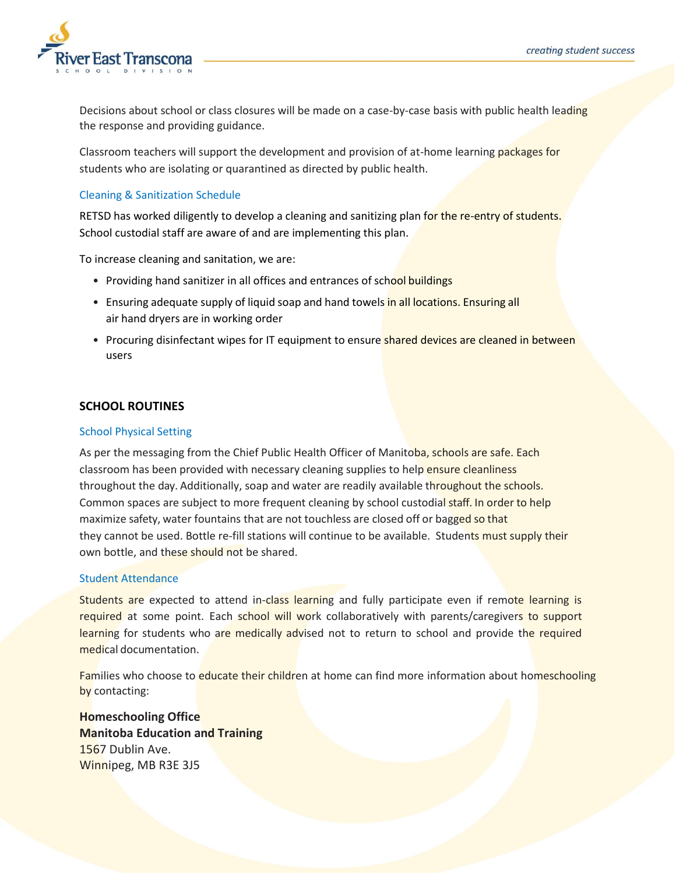

Decisions about school or class closures will be made on a case-by-case basis with public health leading the response and providing guidance.

Classroom teachers will support the development and provision of at-home learning packages for students who are isolating or quarantined as directed by public health.

# Cleaning & Sanitization Schedule

RETSD has worked diligently to develop a cleaning and sanitizing plan for the re-entry of students. School custodial staff are aware of and are implementing this plan.

To increase cleaning and sanitation, we are:

- Providing hand sanitizer in all offices and entrances of school buildings
- Ensuring adequate supply of liquid soap and hand towels in all locations. Ensuring all air hand dryers are in working order
- Procuring disinfectant wipes for IT equipment to ensure shared devices are cleaned in between users

# **SCHOOL ROUTINES**

## School Physical Setting

As per the messaging from the Chief Public Health Officer of Manitoba, schools are safe. Each classroom has been provided with necessary cleaning supplies to help ensure cleanliness throughout the day. Additionally, soap and water are readily available throughout the schools. Common spaces are subject to more frequent cleaning by school custodial staff. In order to help maximize safety, water fountains that are not touchless are closed off or bagged so that they cannot be used. Bottle re-fill stations will continue to be available. Students must supply their own bottle, and these should not be shared.

## Student Attendance

Students are expected to attend in-class learning and fully participate even if remote learning is required at some point. Each school will work collaboratively with parents/caregivers to support learning for students who are medically advised not to return to school and provide the required medical documentation.

Families who choose to educate their children at home can find more information about homeschooling by contacting:

**Homeschooling Office Manitoba Education and Training** 1567 Dublin Ave. Winnipeg, MB R3E 3J5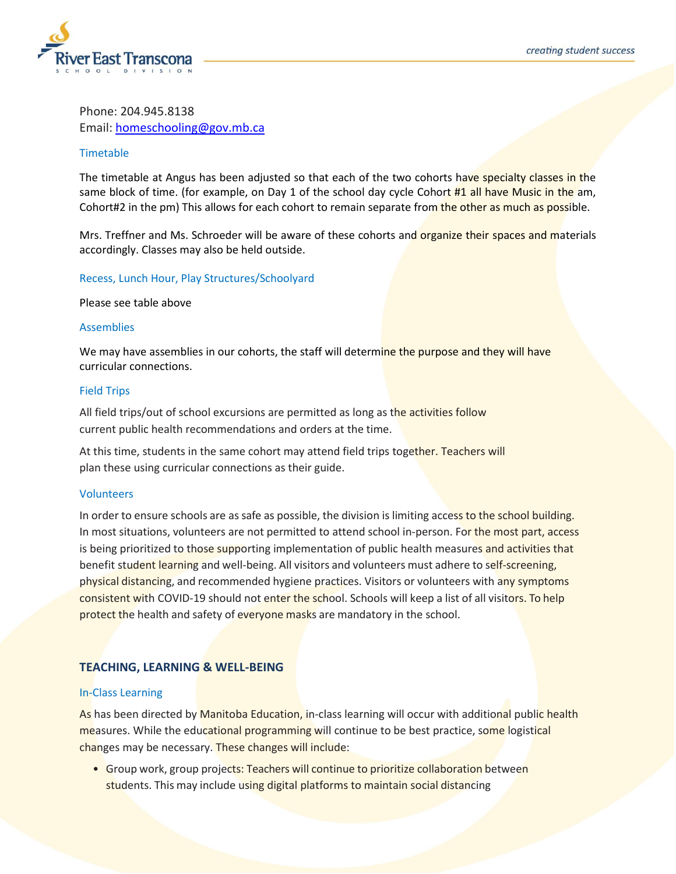

Phone: 204.945.8138 Email: [homeschooling@gov.mb.ca](mailto:homeschooling@gov.mb.ca)

## Timetable

The timetable at Angus has been adjusted so that each of the two cohorts have specialty classes in the same block of time. (for example, on Day 1 of the school day cycle Cohort #1 all have Music in the am, Cohort#2 in the pm) This allows for each cohort to remain separate from the other as much as possible.

Mrs. Treffner and Ms. Schroeder will be aware of these cohorts and organize their spaces and materials accordingly. Classes may also be held outside.

## Recess, Lunch Hour, Play Structures/Schoolyard

Please see table above

## Assemblies

We may have assemblies in our cohorts, the staff will determine the purpose and they will have curricular connections.

## Field Trips

All field trips/out of school excursions are permitted as long as the activities follow current public health recommendations and orders at the time.

At this time, students in the same cohort may attend field trips together. Teachers will plan these using curricular connections as their guide.

## Volunteers

In order to ensure schools are as safe as possible, the division is limiting access to the school building. In most situations, volunteers are not permitted to attend school in-person. For the most part, access is being prioritized to those supporting implementation of public health measures and activities that benefit student learning and well-being. All visitors and volunteers must adhere to self-screening, physical distancing, and recommended hygiene practices. Visitors or volunteers with any symptoms consistent with COVID-19 should not enter the school. Schools will keep a list of all visitors. To help protect the health and safety of everyone masks are mandatory in the school.

# **TEACHING, LEARNING & WELL-BEING**

## In-Class Learning

As has been directed by Manitoba Education, in-class learning will occur with additional public health measures. While the educational programming will continue to be best practice, some logistical changes may be necessary. These changes will include:

• Group work, group projects: Teachers will continue to prioritize collaboration between students. This may include using digital platforms to maintain social distancing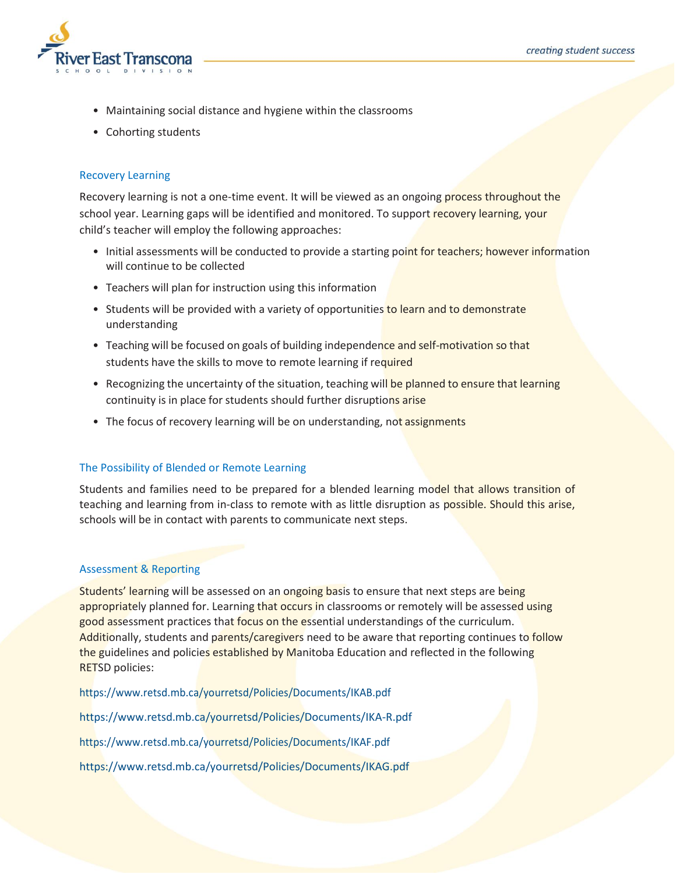

- Maintaining social distance and hygiene within the classrooms
- Cohorting students

# Recovery Learning

Recovery learning is not a one-time event. It will be viewed as an ongoing process throughout the school year. Learning gaps will be identified and monitored. To support recovery learning, your child's teacher will employ the following approaches:

- Initial assessments will be conducted to provide a starting point for teachers; however information will continue to be collected
- Teachers will plan for instruction using this information
- Students will be provided with a variety of opportunities to learn and to demonstrate understanding
- Teaching will be focused on goals of building independence and self-motivation so that students have the skills to move to remote learning if required
- Recognizing the uncertainty of the situation, teaching will be planned to ensure that learning continuity is in place for students should further disruptions arise
- The focus of recovery learning will be on understanding, not assignments

# The Possibility of Blended or Remote Learning

Students and families need to be prepared for a blended learning model that allows transition of teaching and learning from in-class to remote with as little disruption as possible. Should this arise, schools will be in contact with parents to communicate next steps.

## Assessment & Reporting

Students' learning will be assessed on an ongoing basis to ensure that next steps are being appropriately planned for. Learning that occurs in classrooms or remotely will be assessed using good assessment practices that focus on the essential understandings of the curriculum. Additionally, students and parents/caregivers need to be aware that reporting continues to follow the guidelines and policies established by Manitoba Education and reflected in the following RETSD policies:

htt[ps://ww](http://www.retsd.mb.ca/yourretsd/Policies/Documents/IKAB.pdf)w.[retsd.mb.ca/yourretsd/Policies/Documents/IKAB.pdf](http://www.retsd.mb.ca/yourretsd/Policies/Documents/IKAB.pdf) htt[ps://ww](http://www.retsd.mb.ca/yourretsd/Policies/Documents/IKA-R.pdf)w.[retsd.mb.ca/yourretsd/Policies/Documents/IKA-R.pdf](http://www.retsd.mb.ca/yourretsd/Policies/Documents/IKA-R.pdf) htt[ps://ww](http://www.retsd.mb.ca/yourretsd/Policies/Documents/IKAF.pdf)w.[retsd.mb.ca/yourretsd/Policies/Documents/IKAF.pdf](http://www.retsd.mb.ca/yourretsd/Policies/Documents/IKAF.pdf) htt[ps://ww](http://www.retsd.mb.ca/yourretsd/Policies/Documents/IKAG.pdf)w.[retsd.mb.ca/yourretsd/Policies/Documents/IKAG.pdf](http://www.retsd.mb.ca/yourretsd/Policies/Documents/IKAG.pdf)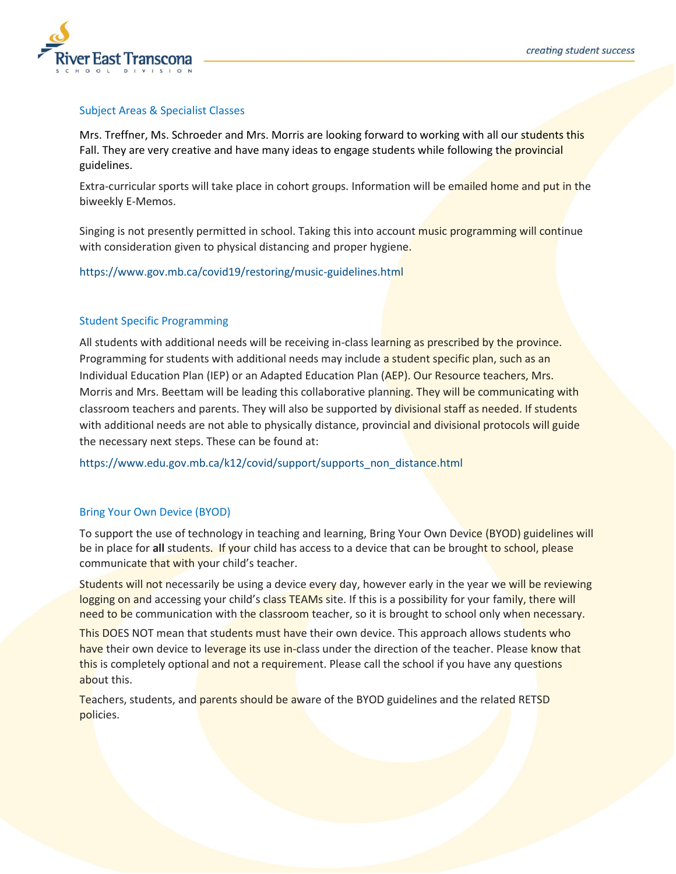

# Subject Areas & Specialist Classes

Mrs. Treffner, Ms. Schroeder and Mrs. Morris are looking forward to working with all our students this Fall. They are very creative and have many ideas to engage students while following the provincial guidelines.

Extra-curricular sports will take place in cohort groups. Information will be emailed home and put in the biweekly E-Memos.

Singing is not presently permitted in school. Taking this into account music programming will continue with consideration given to physical distancing and proper hygiene.

htt[ps://ww](http://www.gov.mb.ca/covid19/restoring/music-guidelines.html)w.[gov.mb.ca/covid19/restoring/music-guidelines.html](http://www.gov.mb.ca/covid19/restoring/music-guidelines.html)

# Student Specific Programming

All students with additional needs will be receiving in-class learning as prescribed by the province. Programming for students with additional needs may include a student specific plan, such as an Individual Education Plan (IEP) or an Adapted Education Plan (AEP). Our Resource teachers, Mrs. Morris and Mrs. Beettam will be leading this collaborative planning. They will be communicating with classroom teachers and parents. They will also be supported by divisional staff as needed. If students with additional needs are not able to physically distance, provincial and divisional protocols will guide the necessary next steps. These can be found at:

htt[ps://www.edu.gov.mb.ca/k12/covid/support/supports\\_non\\_distance.html](http://www.edu.gov.mb.ca/k12/covid/support/supports_non_distance.html)

# Bring Your Own Device (BYOD)

To support the use of technology in teaching and learning, Bring Your Own Device (BYOD) guidelines will be in place for **all** students. If your child has access to a device that can be brought to school, please communicate that with your child's teacher.

Students will not necessarily be using a device every day, however early in the year we will be reviewing logging on and accessing your child's class TEAMs site. If this is a possibility for your family, there will need to be communication with the classroom teacher, so it is brought to school only when necessary.

This DOES NOT mean that students must have their own device. This approach allows students who have their own device to leverage its use in-class under the direction of the teacher. Please know that this is completely optional and not a requirement. Please call the school if you have any questions about this.

Teachers, students, and parents should be aware of the BYOD guidelines and the related RETSD policies.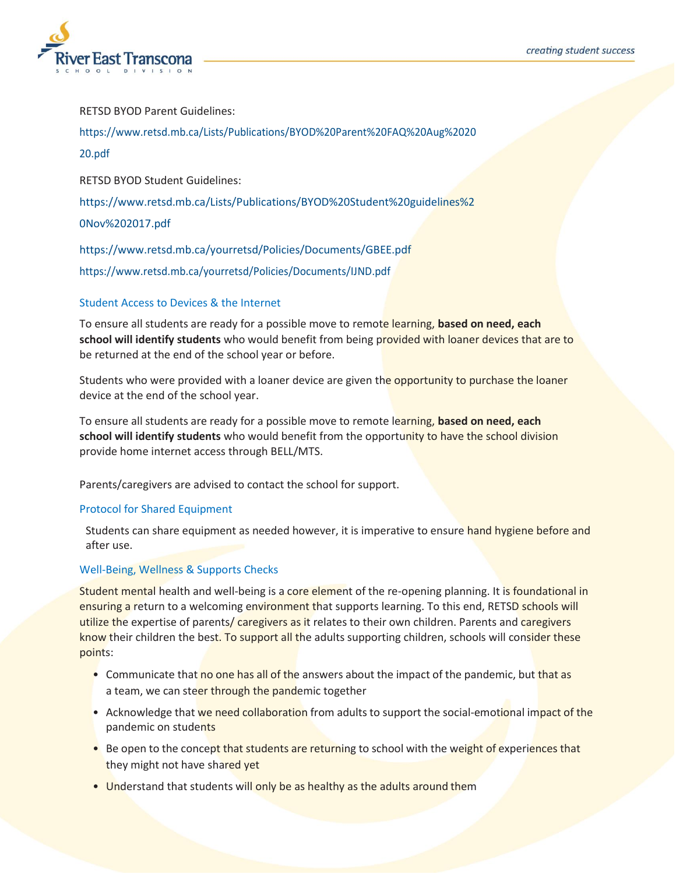

RETSD BYOD Parent Guidelines:

htt[ps://ww](http://www.retsd.mb.ca/Lists/Publications/BYOD%20Parent%20FAQ%20Aug%202020.pdf)w.[retsd.mb.ca/Lists/Publications/BYOD%20Parent%20FAQ%20Aug%2020](http://www.retsd.mb.ca/Lists/Publications/BYOD%20Parent%20FAQ%20Aug%202020.pdf)

## [20.pdf](http://www.retsd.mb.ca/Lists/Publications/BYOD%20Parent%20FAQ%20Aug%202020.pdf)

RETSD BYOD Student Guidelines:

htt[ps://ww](http://www.retsd.mb.ca/Lists/Publications/BYOD%20Student%20guidelines%20Nov%202017.pdf)w.[retsd.mb.ca/Lists/Publications/BYOD%20Student%20guidelines%2](http://www.retsd.mb.ca/Lists/Publications/BYOD%20Student%20guidelines%20Nov%202017.pdf)

## [0Nov%202017.pdf](http://www.retsd.mb.ca/Lists/Publications/BYOD%20Student%20guidelines%20Nov%202017.pdf)

htt[ps://ww](http://www.retsd.mb.ca/yourretsd/Policies/Documents/GBEE.pdf)w.[retsd.mb.ca/yourretsd/Policies/Documents/GBEE.pdf](http://www.retsd.mb.ca/yourretsd/Policies/Documents/GBEE.pdf) htt[ps://ww](http://www.retsd.mb.ca/yourretsd/Policies/Documents/IJND.pdf)w.[retsd.mb.ca/yourretsd/Policies/Documents/IJND.pdf](http://www.retsd.mb.ca/yourretsd/Policies/Documents/IJND.pdf)

# Student Access to Devices & the Internet

To ensure all students are ready for a possible move to remote learning, **based on need, each school will identify students** who would benefit from being provided with loaner devices that are to be returned at the end of the school year or before.

Students who were provided with a loaner device are given the opportunity to purchase the loaner device at the end of the school year.

To ensure all students are ready for a possible move to remote learning, **based on need, each school will identify students** who would benefit from the opportunity to have the school division provide home internet access through BELL/MTS.

Parents/caregivers are advised to contact the school for support.

# Protocol for Shared Equipment

Students can share equipment as needed however, it is imperative to ensure hand hygiene before and after use.

# Well-Being, Wellness & Supports Checks

Student mental health and well-being is a core element of the re-opening planning. It is foundational in ensuring a return to a welcoming environment that supports learning. To this end, RETSD schools will utilize the expertise of parents/ caregivers as it relates to their own children. Parents and caregivers know their children the best. To support all the adults supporting children, schools will consider these points:

- Communicate that no one has all of the answers about the impact of the pandemic, but that as a team, we can steer through the pandemic together
- Acknowledge that we need collaboration from adults to support the social-emotional impact of the pandemic on students
- Be open to the concept that students are returning to school with the weight of experiences that they might not have shared yet
- Understand that students will only be as healthy as the adults around them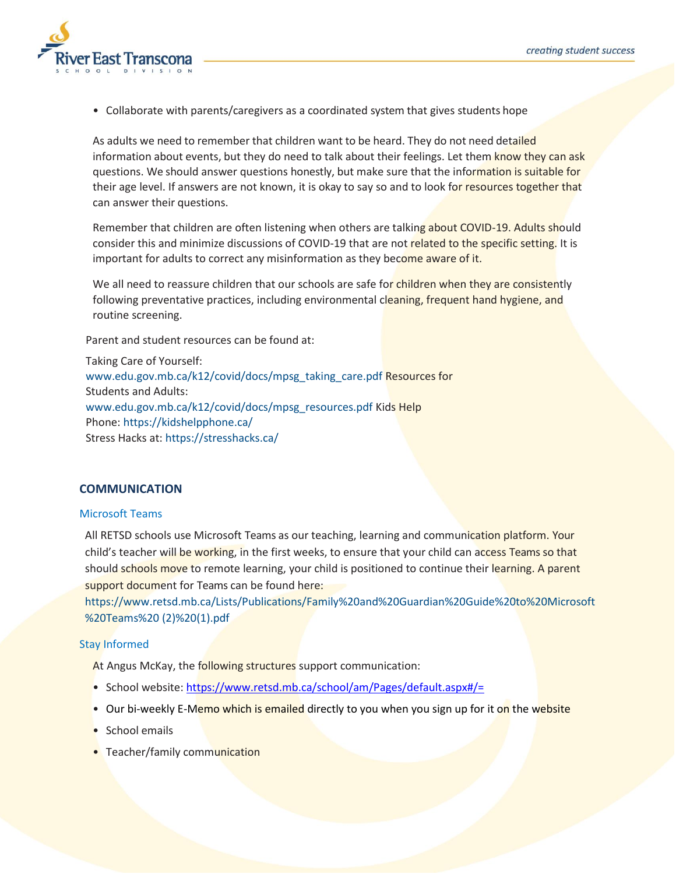

• Collaborate with parents/caregivers as a coordinated system that gives students hope

As adults we need to remember that children want to be heard. They do not need detailed information about events, but they do need to talk about their feelings. Let them know they can ask questions. We should answer questions honestly, but make sure that the information is suitable for their age level. If answers are not known, it is okay to say so and to look for resources together that can answer their questions.

Remember that children are often listening when others are talking about COVID-19. Adults should consider this and minimize discussions of COVID-19 that are not related to the specific setting. It is important for adults to correct any misinformation as they become aware of it.

We all need to reassure children that our schools are safe for children when they are consistently following preventative practices, including environmental cleaning, frequent hand hygiene, and routine screening.

Parent and student resources can be found at:

Taking Care of Yourself: [www.edu.gov.mb.ca/k12/covid/docs/mpsg\\_taking\\_care.pdf](http://www.edu.gov.mb.ca/k12/covid/docs/mpsg_taking_care.pdf) Resources for Students and Adults: [www.edu.gov.mb.ca/k12/covid/docs/mpsg\\_resources.pdf](http://www.edu.gov.mb.ca/k12/covid/docs/mpsg_resources.pdf) Kids Help Phone: https://kidshelpphone.ca/ Stress Hacks at: https://stresshacks.ca/

## **COMMUNICATION**

## Microsoft Teams

All RETSD schools use Microsoft Teams as our teaching, learning and communication platform. Your child's teacher will be working, in the first weeks, to ensure that your child can access Teams so that should schools move to remote learning, your child is positioned to continue their learning. A parent support document for Teams can be found here:

[https://www.retsd.mb.ca/Lists/Publications/Family%20and%20Guardian%20Guide%20to%20Microsoft](https://www.retsd.mb.ca/Lists/Publications/Family%20and%20Guardian%20Guide%20to%20Microsoft%20Teams%20(2)%20(1).pdf) [%20Teams%20](https://www.retsd.mb.ca/Lists/Publications/Family%20and%20Guardian%20Guide%20to%20Microsoft%20Teams%20(2)%20(1).pdf) [\(2\)%20\(1\).pdf](https://www.retsd.mb.ca/Lists/Publications/Family%20and%20Guardian%20Guide%20to%20Microsoft%20Teams%20(2)%20(1).pdf)

# Stay Informed

At Angus McKay, the following structures support communication:

- School website[: https://www.retsd.mb.ca/school/am/Pages/default.aspx#/=](https://www.retsd.mb.ca/school/am/Pages/default.aspx#/=)
- Our bi-weekly E-Memo which is emailed directly to you when you sign up for it on the website
- School emails
- Teacher/family communication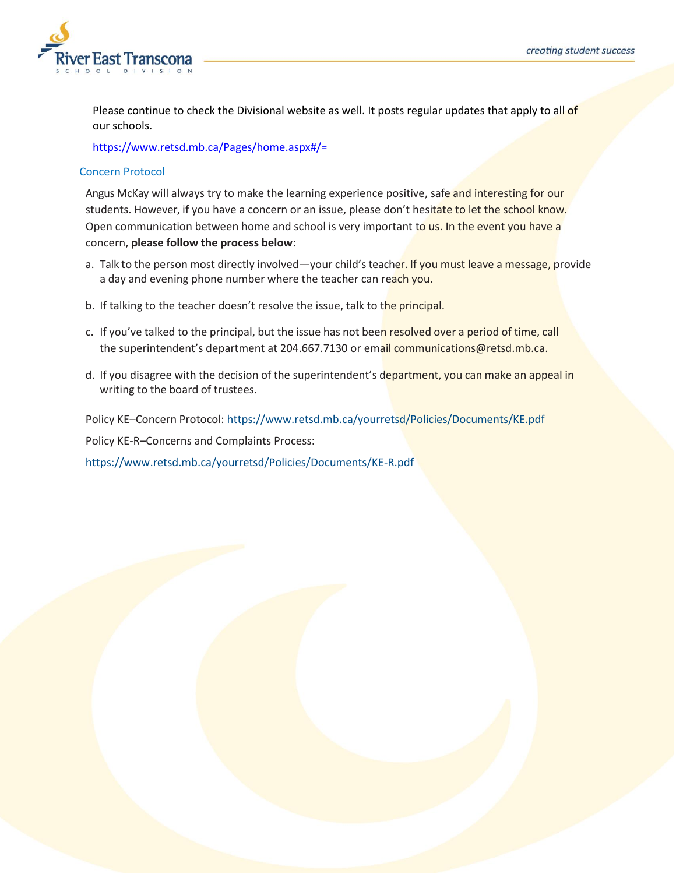

Please continue to check the Divisional website as well. It posts regular updates that apply to all of our schools.

<https://www.retsd.mb.ca/Pages/home.aspx#/=>

# Concern Protocol

Angus McKay will always try to make the learning experience positive, safe and interesting for our students. However, if you have a concern or an issue, please don't hesitate to let the school know. Open communication between home and school is very important to us. In the event you have a concern, **please follow the process below**:

- a. Talk to the person most directly involved—your child's teacher. If you must leave a message, provide a day and evening phone number where the teacher can reach you.
- b. If talking to the teacher doesn't resolve the issue, talk to the principal.
- c. If you've talked to the principal, but the issue has not been resolved over a period of time, call the superintendent's department at 204.667.7130 or email [communications@retsd.mb.ca.](mailto:communications@retsd.mb.ca)
- d. If you disagree with the decision of the superintendent's department, you can make an appeal in writing to the board of trustees.

Policy KE–Concern Protocol: htt[ps://ww](http://www.retsd.mb.ca/yourretsd/Policies/Documents/KE.pdf)w.[retsd.mb.ca/yourretsd/Policies/Documents/KE.pdf](http://www.retsd.mb.ca/yourretsd/Policies/Documents/KE.pdf)

Policy KE-R–Concerns and Complaints Process:

htt[ps://ww](http://www.retsd.mb.ca/yourretsd/Policies/Documents/KE-R.pdf)w.[retsd.mb.ca/yourretsd/Policies/Documents/KE-R.pdf](http://www.retsd.mb.ca/yourretsd/Policies/Documents/KE-R.pdf)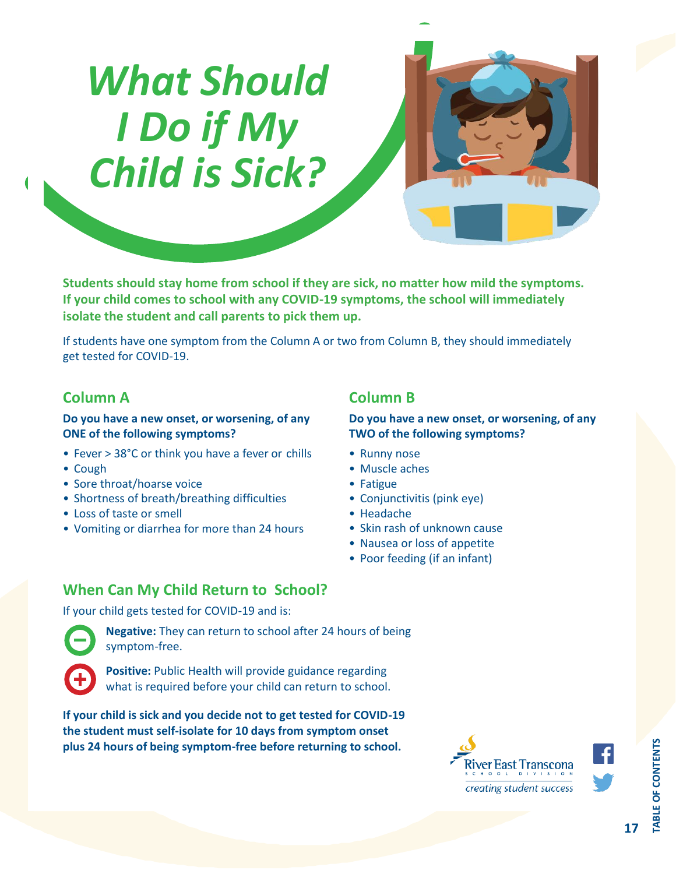# *What Should I Do if My Child is Sick?*



**Students should stay home from school if they are sick, no matter how mild the symptoms. If your child comes to school with any COVID-19 symptoms, the school will immediately isolate the student and call parents to pick them up.**

If students have one symptom from the Column A or two from Column B, they should immediately get tested for COVID-19.

# **Column A**

# **Do you have a new onset, or worsening, of any ONE of the following symptoms?**

- Fever > 38°C or think you have a fever or chills
- Cough
- Sore throat/hoarse voice
- Shortness of breath/breathing difficulties
- Loss of taste or smell
- Vomiting or diarrhea for more than 24 hours

# **Column B**

# **Do you have a new onset, or worsening, of any TWO of the following symptoms?**

- Runny nose
- Muscle aches
- Fatigue
- Conjunctivitis (pink eye)
- Headache
- Skin rash of unknown cause
- Nausea or loss of appetite
- Poor feeding (if an infant)

# **When Can My Child Return to School?**

If your child gets tested for COVID-19 and is:



**Negative:** They can return to school after 24 hours of being symptom-free.



**Positive:** Public Health will provide guidance regarding what is required before your child can return to school.

**If your child is sick and you decide not to get tested for COVID-19 the student must self-isolate for 10 days from symptom onset plus 24 hours of being symptom-free before returning to school.**